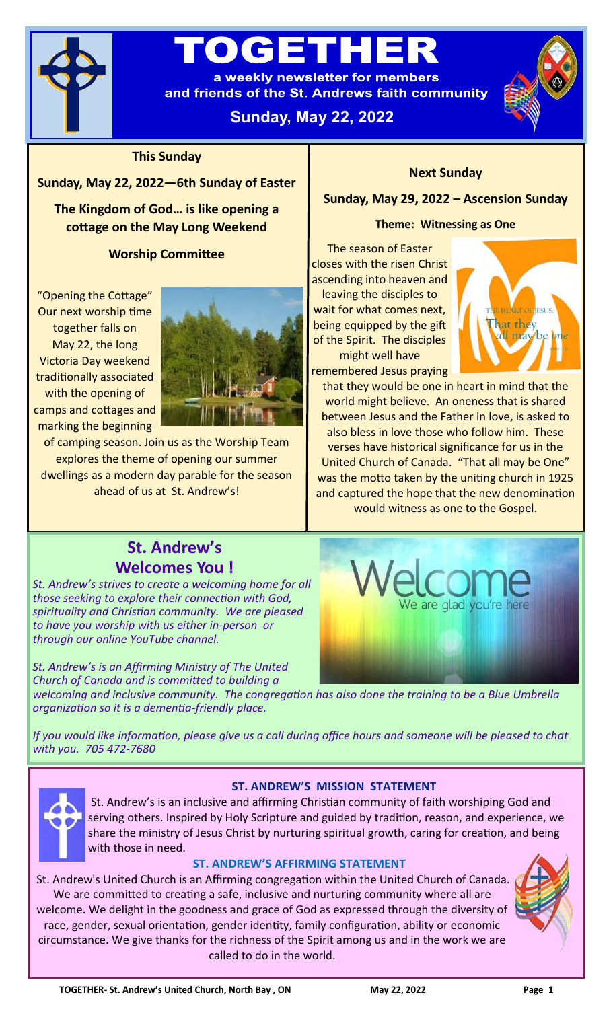

# OGETH

a weekly newsletter for members and friends of the St. Andrews faith community

# **Sunday, May 22, 2022**



# **This Sunday**

# **Sunday, May 22, 2022—6th Sunday of Easter**

**The Kingdom of God… is like opening a cottage on the May Long Weekend**

# **Worship Committee**

"Opening the Cottage" Our next worship time together falls on May 22, the long Victoria Day weekend traditionally associated with the opening of camps and cottages and marking the beginning



of camping season. Join us as the Worship Team explores the theme of opening our summer dwellings as a modern day parable for the season ahead of us at St. Andrew's!

# **Next Sunday**

**Sunday, May 29, 2022 – Ascension Sunday**

### **Theme: Witnessing as One**

The season of Easter closes with the risen Christ ascending into heaven and leaving the disciples to wait for what comes next, being equipped by the gift of the Spirit. The disciples

might well have remembered Jesus praying



that they would be one in heart in mind that the world might believe. An oneness that is shared between Jesus and the Father in love, is asked to also bless in love those who follow him. These verses have historical significance for us in the United Church of Canada. "That all may be One" was the motto taken by the uniting church in 1925 and captured the hope that the new denomination would witness as one to the Gospel.

glad you're here

# **St. Andrew's Welcomes You !**

*St. Andrew's strives to create a welcoming home for all those seeking to explore their connection with God, spirituality and Christian community. We are pleased to have you worship with us either in-person or through our online YouTube channel.* 

*St. Andrew's is an Affirming Ministry of The United Church of Canada and is committed to building a* 

*welcoming and inclusive community. The congregation has also done the training to be a Blue Umbrella organization so it is a dementia-friendly place.*

*If you would like information, please give us a call during office hours and someone will be pleased to chat with you. 705 472-7680*



# **ST. ANDREW'S MISSION STATEMENT**

St. Andrew's is an inclusive and affirming Christian community of faith worshiping God and serving others. Inspired by Holy Scripture and guided by tradition, reason, and experience, we share the ministry of Jesus Christ by nurturing spiritual growth, caring for creation, and being with those in need.

# **ST. ANDREW'S AFFIRMING STATEMENT**

St. Andrew's United Church is an Affirming congregation within the United Church of Canada. We are committed to creating a safe, inclusive and nurturing community where all are welcome. We delight in the goodness and grace of God as expressed through the diversity of race, gender, sexual orientation, gender identity, family configuration, ability or economic circumstance. We give thanks for the richness of the Spirit among us and in the work we are called to do in the world.

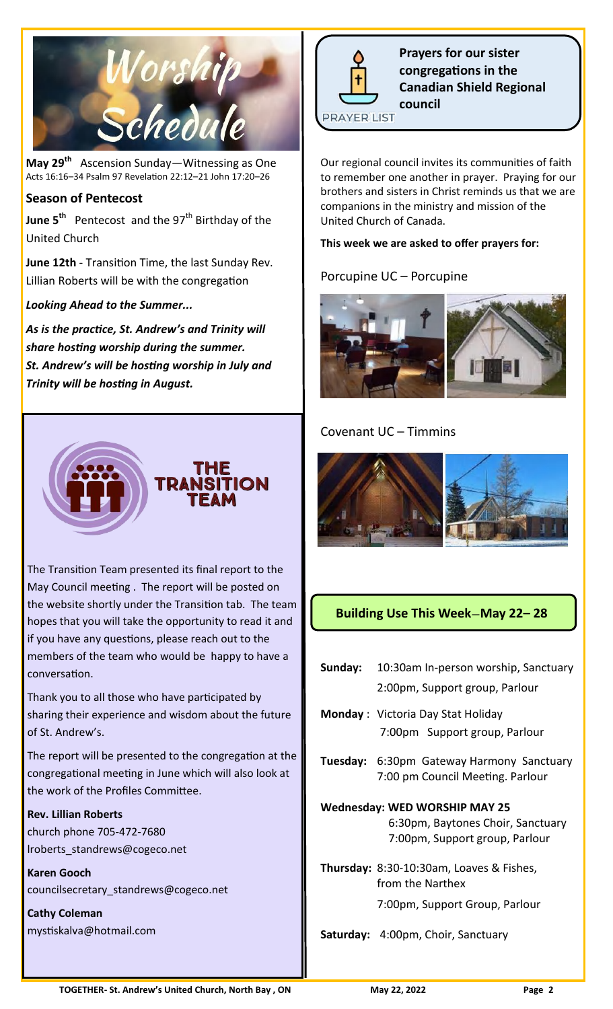

**May 29th** Ascension Sunday—Witnessing as One Acts 16:16–34 Psalm 97 Revelation 22:12–21 John 17:20–26

# **Season of Pentecost**

**June 5<sup>th</sup>** Pentecost and the 97<sup>th</sup> Birthday of the United Church

**June 12th** - Transition Time, the last Sunday Rev. Lillian Roberts will be with the congregation

# *Looking Ahead to the Summer...*

*As is the practice, St. Andrew's and Trinity will share hosting worship during the summer. St. Andrew's will be hosting worship in July and Trinity will be hosting in August.*



The Transition Team presented its final report to the May Council meeting . The report will be posted on the website shortly under the Transition tab. The team hopes that you will take the opportunity to read it and if you have any questions, please reach out to the members of the team who would be happy to have a conversation.

Thank you to all those who have participated by sharing their experience and wisdom about the future of St. Andrew's.

The report will be presented to the congregation at the congregational meeting in June which will also look at the work of the Profiles Committee.

#### **Rev. Lillian Roberts**

church phone 705-472-7680 lroberts\_standrews@cogeco.net

**Karen Gooch** councilsecretary\_standrews@cogeco.net

**Cathy Coleman** mystiskalva@hotmail.com



**Prayers for our sister congregations in the Canadian Shield Regional council**

**PRAYER LIST** 

Our regional council invites its communities of faith to remember one another in prayer. Praying for our brothers and sisters in Christ reminds us that we are companions in the ministry and mission of the United Church of Canada.

#### **This week we are asked to offer prayers for:**

# Porcupine UC – Porcupine



# Covenant UC – Timmins



# **Building Use This Week**—**May 22– 28**

| <b>Sunday:</b> 10:30am In-person worship, Sanctuary |
|-----------------------------------------------------|
| 2:00pm, Support group, Parlour                      |

- **Monday** : Victoria Day Stat Holiday 7:00pm Support group, Parlour
- **Tuesday:** 6:30pm Gateway Harmony Sanctuary 7:00 pm Council Meeting. Parlour

# **Wednesday: WED WORSHIP MAY 25**

 6:30pm, Baytones Choir, Sanctuary 7:00pm, Support group, Parlour

**Thursday:** 8:30-10:30am, Loaves & Fishes, from the Narthex

7:00pm, Support Group, Parlour

**Saturday:** 4:00pm, Choir, Sanctuary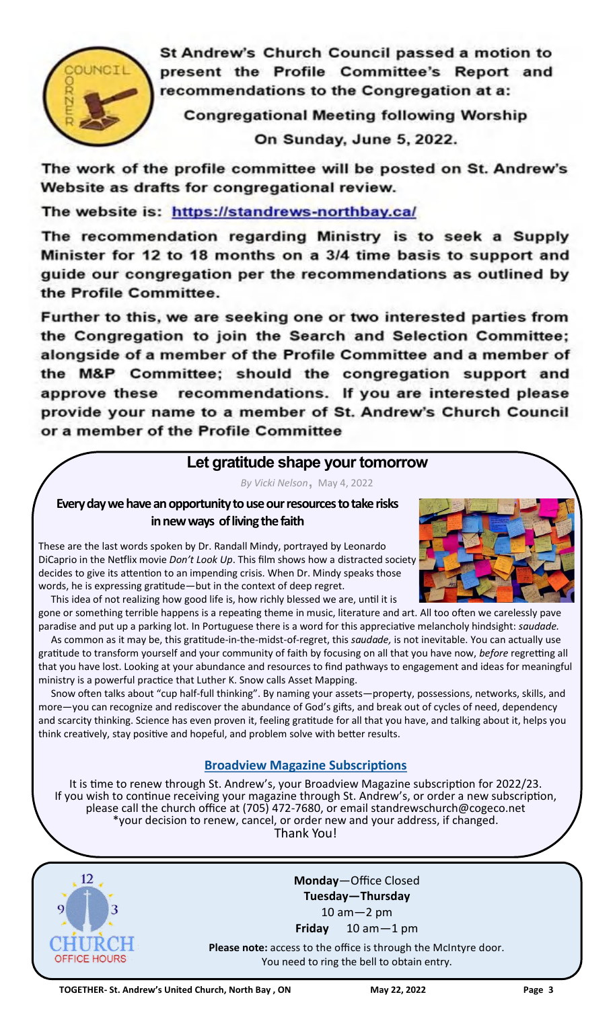

St Andrew's Church Council passed a motion to present the Profile Committee's Report and recommendations to the Congregation at a:

**Congregational Meeting following Worship** 

On Sunday, June 5, 2022.

The work of the profile committee will be posted on St. Andrew's Website as drafts for congregational review.

The website is: https://standrews-northbay.ca/

The recommendation regarding Ministry is to seek a Supply Minister for 12 to 18 months on a 3/4 time basis to support and guide our congregation per the recommendations as outlined by the Profile Committee.

Further to this, we are seeking one or two interested parties from the Congregation to join the Search and Selection Committee; alongside of a member of the Profile Committee and a member of the M&P Committee; should the congregation support and approve these recommendations. If you are interested please provide your name to a member of St. Andrew's Church Council or a member of the Profile Committee

# **Let gratitude shape your tomorrow**

*By Vicki Nelson*, May 4, 2022

**Every day we have an opportunity to use our resources to take risks in new ways of living the faith**

These are the last words spoken by Dr. Randall Mindy, portrayed by Leonardo DiCaprio in the Netflix movie *Don't Look Up*. This film shows how a distracted society decides to give its attention to an impending crisis. When Dr. Mindy speaks those words, he is expressing gratitude—but in the context of deep regret.





gone or something terrible happens is a repeating theme in music, literature and art. All too often we carelessly pave paradise and put up a parking lot. In Portuguese there is a word for this appreciative melancholy hindsight: *saudade.* As common as it may be, this gratitude-in-the-midst-of-regret, this *saudade,* is not inevitable. You can actually use gratitude to transform yourself and your community of faith by focusing on all that you have now, *before* regretting all that you have lost. Looking at your abundance and resources to find pathways to engagement and ideas for meaningful ministry is a powerful practice that Luther K. Snow calls Asset Mapping.

 Snow often talks about "cup half-full thinking". By naming your assets—property, possessions, networks, skills, and more—you can recognize and rediscover the abundance of God's gifts, and break out of cycles of need, dependency and scarcity thinking. Science has even proven it, feeling gratitude for all that you have, and talking about it, helps you think creatively, stay positive and hopeful, and problem solve with better results.

# **[Broadview Magazine Subscriptions](https://broadview.org/let-gratitude-shape-your-tomorrow/)**

It is time to renew through St. Andrew's, your Broadview Magazine subscription for 2022/23. If you wish to continue receiving your magazine through St. Andrew's, or order a new subscription, please call the church office at (705) 472-7680, or email standrewschurch@cogeco.net \*your decision to renew, cancel, or order new and your address, if changed. Thank You!



**Monday**—Office Closed **Tuesday—Thursday**  10 am—2 pm **Friday** 10 am—1 pm

**Please note:** access to the office is through the McIntyre door. You need to ring the bell to obtain entry.